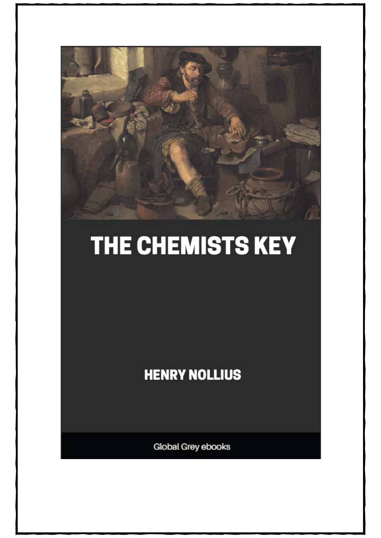

# THE CHEMISTS KEY

**HENRY NOLLIUS** 

Global Grey ebooks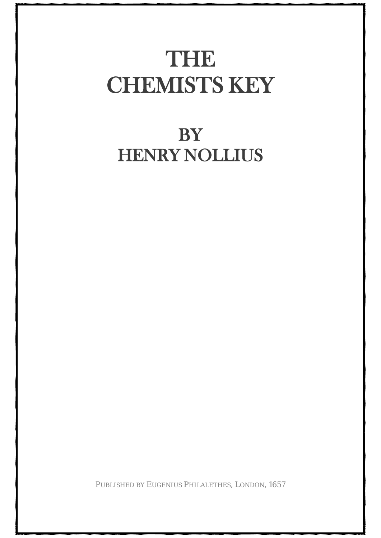## THE CHEMISTS KEY

## **BY HENRY NOLLIUS**

PUBLISHED BY EUGENIUS PHILALETHES, LONDON, 1657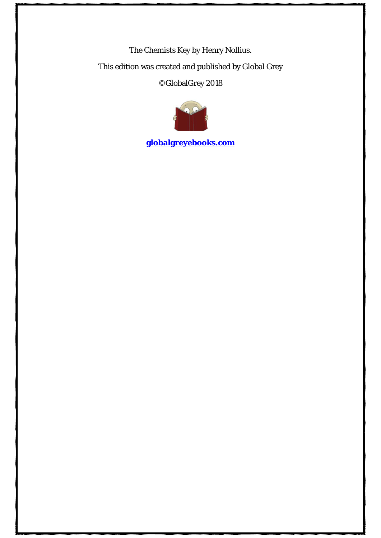The Chemists Key by Henry Nollius. This edition was created and published by Global Grey ©GlobalGrey 2018



**[globalgreyebooks.com](https://www.globalgreyebooks.com/)**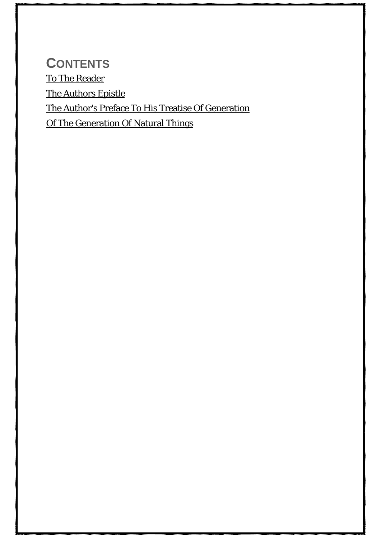**CONTENTS** [To The Reader](#page-5-0) [The Authors Epistle](#page-8-0) [The Author's Preface To His Treatise Of Generation](#page-13-0) [Of The Generation Of Natural Things](#page-15-0)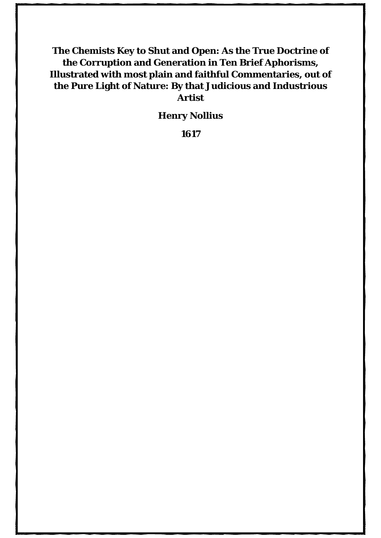**The Chemists Key to Shut and Open: As the True Doctrine of the Corruption and Generation in Ten Brief Aphorisms, Illustrated with most plain and faithful Commentaries, out of the Pure Light of Nature: By that Judicious and Industrious Artist**

**Henry Nollius**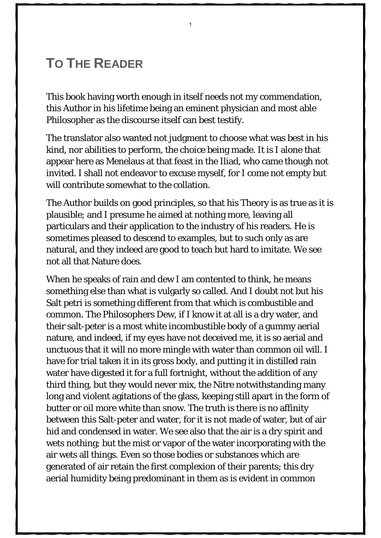## <span id="page-5-0"></span>**TO THE READER**

This book having worth enough in itself needs not my commendation, this Author in his lifetime being an eminent physician and most able Philosopher as the discourse itself can best testify.

1

The translator also wanted not judgment to choose what was best in his kind, nor abilities to perform, the choice being made. It is I alone that appear here as Menelaus at that feast in the Iliad, who came though not invited. I shall not endeavor to excuse myself, for I come not empty but will contribute somewhat to the collation.

The Author builds on good principles, so that his Theory is as true as it is plausible; and I presume he aimed at nothing more, leaving all particulars and their application to the industry of his readers. He is sometimes pleased to descend to examples, but to such only as are natural, and they indeed are good to teach but hard to imitate. We see not all that Nature does.

When he speaks of rain and dew I am contented to think, he means something else than what is vulgarly so called. And I doubt not but his Salt petri is something different from that which is combustible and common. The Philosophers Dew, if I know it at all is a dry water, and their salt-peter is a most white incombustible body of a gummy aerial nature, and indeed, if my eyes have not deceived me, it is so aerial and unctuous that it will no more mingle with water than common oil will. I have for trial taken it in its gross body, and putting it in distilled rain water have digested it for a full fortnight, without the addition of any third thing, but they would never mix, the Nitre notwithstanding many long and violent agitations of the glass, keeping still apart in the form of butter or oil more white than snow. The truth is there is no affinity between this Salt-peter and water, for it is not made of water, but of air hid and condensed in water. We see also that the air is a dry spirit and wets nothing; but the mist or vapor of the water incorporating with the air wets all things. Even so those bodies or substances which are generated of air retain the first complexion of their parents; this dry aerial humidity being predominant in them as is evident in common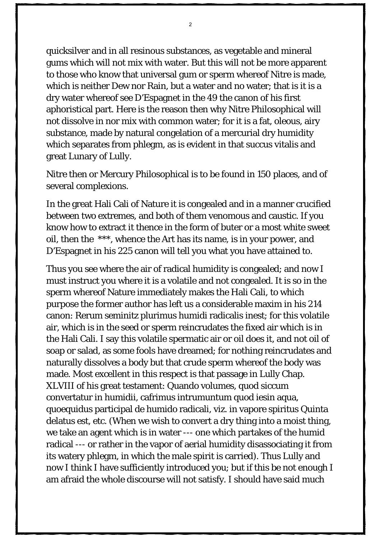quicksilver and in all resinous substances, as vegetable and mineral gums which will not mix with water. But this will not be more apparent to those who know that universal gum or sperm whereof Nitre is made, which is neither Dew nor Rain, but a water and no water; that is it is a dry water whereof see D'Espagnet in the 49 the canon of his first aphoristical part. Here is the reason then why Nitre Philosophical will not dissolve in nor mix with common water; for it is a fat, oleous, airy substance, made by natural congelation of a mercurial dry humidity which separates from phlegm, as is evident in that succus vitalis and great Lunary of Lully.

Nitre then or Mercury Philosophical is to be found in 150 places, and of several complexions.

In the great Hali Cali of Nature it is congealed and in a manner crucified between two extremes, and both of them venomous and caustic. If you know how to extract it thence in the form of buter or a most white sweet oil, then the \*\*\*, whence the Art has its name, is in your power, and D'Espagnet in his 225 canon will tell you what you have attained to.

Thus you see where the air of radical humidity is congealed; and now I must instruct you where it is a volatile and not congealed. It is so in the sperm whereof Nature immediately makes the Hali Cali, to which purpose the former author has left us a considerable maxim in his 214 canon: Rerum seminitz plurimus humidi radicalis inest; for this volatile air, which is in the seed or sperm reincrudates the fixed air which is in the Hali Cali. I say this volatile spermatic air or oil does it, and not oil of soap or salad, as some fools have dreamed; for nothing reincrudates and naturally dissolves a body but that crude sperm whereof the body was made. Most excellent in this respect is that passage in Lully Chap. XLVIII of his great testament: Quando volumes, quod siccum convertatur in humidii, cafrimus intrumuntum quod iesin aqua, quoequidus participal de humido radicali, viz. in vapore spiritus Quinta delatus est, etc. (When we wish to convert a dry thing into a moist thing, we take an agent which is in water --- one which partakes of the humid radical --- or rather in the vapor of aerial humidity disassociating it from its watery phlegm, in which the male spirit is carried). Thus Lully and now I think I have sufficiently introduced you; but if this be not enough I am afraid the whole discourse will not satisfy. I should have said much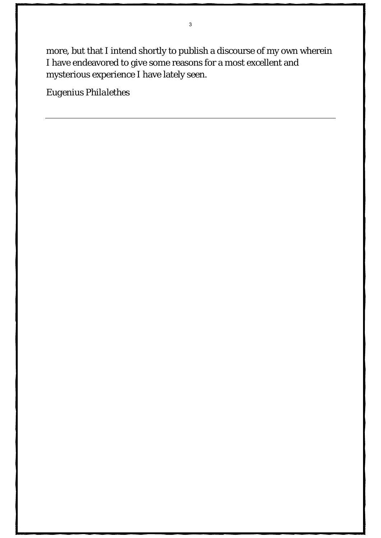more, but that I intend shortly to publish a discourse of my own wherein I have endeavored to give some reasons for a most excellent and mysterious experience I have lately seen.

*Eugenius Philalethes*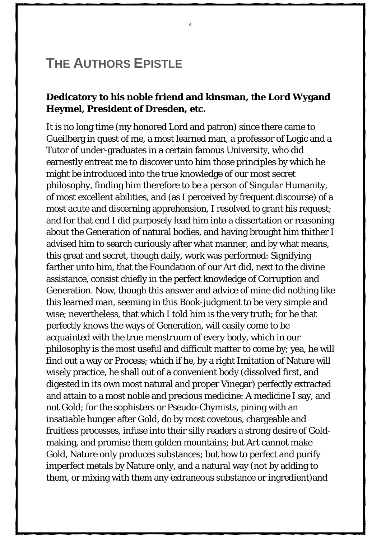### <span id="page-8-0"></span>**THE AUTHORS EPISTLE**

#### **Dedicatory to his noble friend and kinsman, the Lord Wygand Heymel, President of Dresden, etc.**

4

It is no long time (my honored Lord and patron) since there came to Gueilberg in quest of me, a most learned man, a professor of Logic and a Tutor of under-graduates in a certain famous University, who did earnestly entreat me to discover unto him those principles by which he might be introduced into the true knowledge of our most secret philosophy, finding him therefore to be a person of Singular Humanity, of most excellent abilities, and (as I perceived by frequent discourse) of a most acute and discerning apprehension, I resolved to grant his request; and for that end I did purposely lead him into a dissertation or reasoning about the Generation of natural bodies, and having brought him thither I advised him to search curiously after what manner, and by what means, this great and secret, though daily, work was performed: Signifying farther unto him, that the Foundation of our Art did, next to the divine assistance, consist chiefly in the perfect knowledge of Corruption and Generation. Now, though this answer and advice of mine did nothing like this learned man, seeming in this Book-judgment to be very simple and wise; nevertheless, that which I told him is the very truth; for he that perfectly knows the ways of Generation, will easily come to be acquainted with the true menstruum of every body, which in our philosophy is the most useful and difficult matter to come by; yea, he will find out a way or Process; which if he, by a right Imitation of Nature will wisely practice, he shall out of a convenient body (dissolved first, and digested in its own most natural and proper Vinegar) perfectly extracted and attain to a most noble and precious medicine: A medicine I say, and not Gold; for the sophisters or Pseudo-Chymists, pining with an insatiable hunger after Gold, do by most covetous, chargeable and fruitless processes, infuse into their silly readers a strong desire of Goldmaking, and promise them golden mountains; but Art cannot make Gold, Nature only produces substances; but how to perfect and purify imperfect metals by Nature only, and a natural way (not by adding to them, or mixing with them any extraneous substance or ingredient)and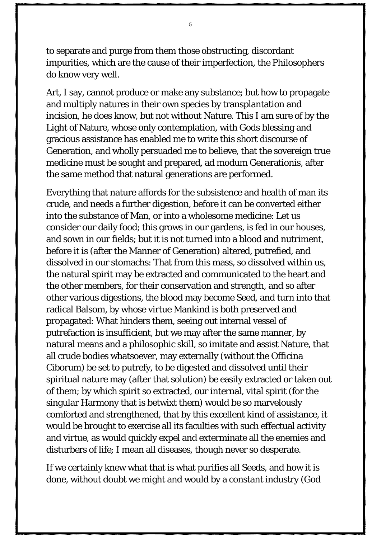to separate and purge from them those obstructing, discordant impurities, which are the cause of their imperfection, the Philosophers do know very well.

Art, I say, cannot produce or make any substance; but how to propagate and multiply natures in their own species by transplantation and incision, he does know, but not without Nature. This I am sure of by the Light of Nature, whose only contemplation, with Gods blessing and gracious assistance has enabled me to write this short discourse of Generation, and wholly persuaded me to believe, that the sovereign true medicine must be sought and prepared, ad modum Generationis, after the same method that natural generations are performed.

Everything that nature affords for the subsistence and health of man its crude, and needs a further digestion, before it can be converted either into the substance of Man, or into a wholesome medicine: Let us consider our daily food; this grows in our gardens, is fed in our houses, and sown in our fields; but it is not turned into a blood and nutriment, before it is (after the Manner of Generation) altered, putrefied, and dissolved in our stomachs: That from this mass, so dissolved within us, the natural spirit may be extracted and communicated to the heart and the other members, for their conservation and strength, and so after other various digestions, the blood may become Seed, and turn into that radical Balsom, by whose virtue Mankind is both preserved and propagated: What hinders them, seeing out internal vessel of putrefaction is insufficient, but we may after the same manner, by natural means and a philosophic skill, so imitate and assist Nature, that all crude bodies whatsoever, may externally (without the Officina Ciborum) be set to putrefy, to be digested and dissolved until their spiritual nature may (after that solution) be easily extracted or taken out of them; by which spirit so extracted, our internal, vital spirit (for the singular Harmony that is betwixt them) would be so marvelously comforted and strengthened, that by this excellent kind of assistance, it would be brought to exercise all its faculties with such effectual activity and virtue, as would quickly expel and exterminate all the enemies and disturbers of life; I mean all diseases, though never so desperate.

If we certainly knew what that is what purifies all Seeds, and how it is done, without doubt we might and would by a constant industry (God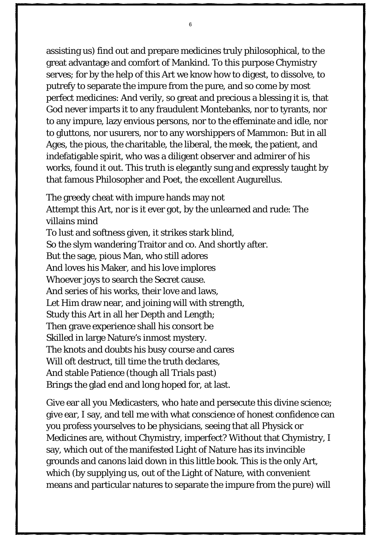assisting us) find out and prepare medicines truly philosophical, to the great advantage and comfort of Mankind. To this purpose Chymistry serves; for by the help of this Art we know how to digest, to dissolve, to putrefy to separate the impure from the pure, and so come by most perfect medicines: And verily, so great and precious a blessing it is, that God never imparts it to any fraudulent Montebanks, nor to tyrants, nor to any impure, lazy envious persons, nor to the effeminate and idle, nor to gluttons, nor usurers, nor to any worshippers of Mammon: But in all Ages, the pious, the charitable, the liberal, the meek, the patient, and indefatigable spirit, who was a diligent observer and admirer of his works, found it out. This truth is elegantly sung and expressly taught by that famous Philosopher and Poet, the excellent Augurellus.

The greedy cheat with impure hands may not Attempt this Art, nor is it ever got, by the unlearned and rude: The villains mind To lust and softness given, it strikes stark blind, So the slym wandering Traitor and co. And shortly after. But the sage, pious Man, who still adores And loves his Maker, and his love implores Whoever joys to search the Secret cause. And series of his works, their love and laws, Let Him draw near, and joining will with strength, Study this Art in all her Depth and Length; Then grave experience shall his consort be Skilled in large Nature's inmost mystery. The knots and doubts his busy course and cares Will oft destruct, till time the truth declares, And stable Patience (though all Trials past) Brings the glad end and long hoped for, at last.

Give ear all you Medicasters, who hate and persecute this divine science; give ear, I say, and tell me with what conscience of honest confidence can you profess yourselves to be physicians, seeing that all Physick or Medicines are, without Chymistry, imperfect? Without that Chymistry, I say, which out of the manifested Light of Nature has its invincible grounds and canons laid down in this little book. This is the only Art, which (by supplying us, out of the Light of Nature, with convenient means and particular natures to separate the impure from the pure) will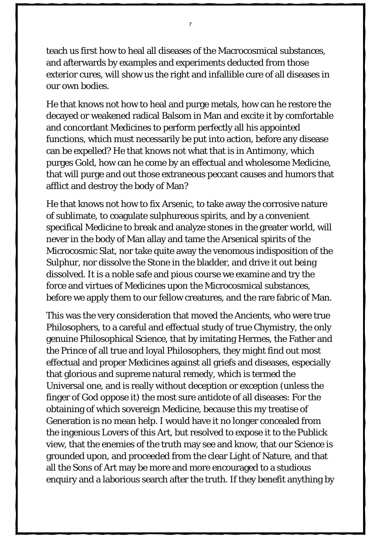teach us first how to heal all diseases of the Macrocosmical substances, and afterwards by examples and experiments deducted from those exterior cures, will show us the right and infallible cure of all diseases in our own bodies.

7

He that knows not how to heal and purge metals, how can he restore the decayed or weakened radical Balsom in Man and excite it by comfortable and concordant Medicines to perform perfectly all his appointed functions, which must necessarily be put into action, before any disease can be expelled? He that knows not what that is in Antimony, which purges Gold, how can he come by an effectual and wholesome Medicine, that will purge and out those extraneous peccant causes and humors that afflict and destroy the body of Man?

He that knows not how to fix Arsenic, to take away the corrosive nature of sublimate, to coagulate sulphureous spirits, and by a convenient specifical Medicine to break and analyze stones in the greater world, will never in the body of Man allay and tame the Arsenical spirits of the Microcosmic Slat, nor take quite away the venomous indisposition of the Sulphur, nor dissolve the Stone in the bladder, and drive it out being dissolved. It is a noble safe and pious course we examine and try the force and virtues of Medicines upon the Microcosmical substances, before we apply them to our fellow creatures, and the rare fabric of Man.

This was the very consideration that moved the Ancients, who were true Philosophers, to a careful and effectual study of true Chymistry, the only genuine Philosophical Science, that by imitating Hermes, the Father and the Prince of all true and loyal Philosophers, they might find out most effectual and proper Medicines against all griefs and diseases, especially that glorious and supreme natural remedy, which is termed the Universal one, and is really without deception or exception (unless the finger of God oppose it) the most sure antidote of all diseases: For the obtaining of which sovereign Medicine, because this my treatise of Generation is no mean help. I would have it no longer concealed from the ingenious Lovers of this Art, but resolved to expose it to the Publick view, that the enemies of the truth may see and know, that our Science is grounded upon, and proceeded from the clear Light of Nature, and that all the Sons of Art may be more and more encouraged to a studious enquiry and a laborious search after the truth. If they benefit anything by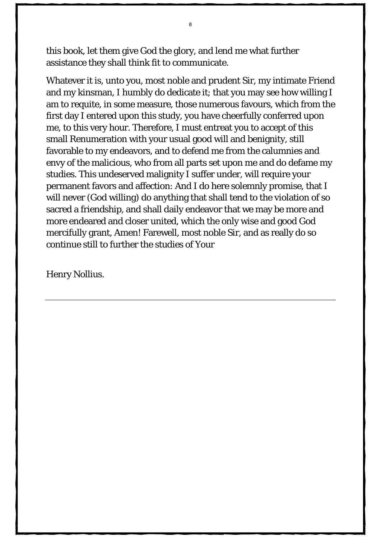this book, let them give God the glory, and lend me what further assistance they shall think fit to communicate.

Whatever it is, unto you, most noble and prudent Sir, my intimate Friend and my kinsman, I humbly do dedicate it; that you may see how willing I am to requite, in some measure, those numerous favours, which from the first day I entered upon this study, you have cheerfully conferred upon me, to this very hour. Therefore, I must entreat you to accept of this small Renumeration with your usual good will and benignity, still favorable to my endeavors, and to defend me from the calumnies and envy of the malicious, who from all parts set upon me and do defame my studies. This undeserved malignity I suffer under, will require your permanent favors and affection: And I do here solemnly promise, that I will never (God willing) do anything that shall tend to the violation of so sacred a friendship, and shall daily endeavor that we may be more and more endeared and closer united, which the only wise and good God mercifully grant, Amen! Farewell, most noble Sir, and as really do so continue still to further the studies of Your

Henry Nollius.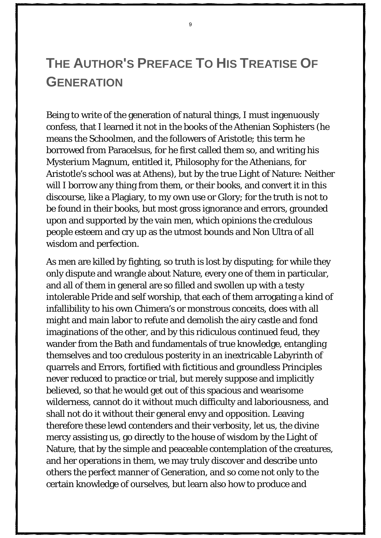## <span id="page-13-0"></span>**THE AUTHOR'S PREFACE TO HIS TREATISE OF GENERATION**

 $\overline{9}$ 

Being to write of the generation of natural things, I must ingenuously confess, that I learned it not in the books of the Athenian Sophisters (he means the Schoolmen, and the followers of Aristotle; this term he borrowed from Paracelsus, for he first called them so, and writing his Mysterium Magnum, entitled it, Philosophy for the Athenians, for Aristotle's school was at Athens), but by the true Light of Nature: Neither will I borrow any thing from them, or their books, and convert it in this discourse, like a Plagiary, to my own use or Glory; for the truth is not to be found in their books, but most gross ignorance and errors, grounded upon and supported by the vain men, which opinions the credulous people esteem and cry up as the utmost bounds and Non Ultra of all wisdom and perfection.

As men are killed by fighting, so truth is lost by disputing; for while they only dispute and wrangle about Nature, every one of them in particular, and all of them in general are so filled and swollen up with a testy intolerable Pride and self worship, that each of them arrogating a kind of infallibility to his own Chimera's or monstrous conceits, does with all might and main labor to refute and demolish the airy castle and fond imaginations of the other, and by this ridiculous continued feud, they wander from the Bath and fundamentals of true knowledge, entangling themselves and too credulous posterity in an inextricable Labyrinth of quarrels and Errors, fortified with fictitious and groundless Principles never reduced to practice or trial, but merely suppose and implicitly believed, so that he would get out of this spacious and wearisome wilderness, cannot do it without much difficulty and laboriousness, and shall not do it without their general envy and opposition. Leaving therefore these lewd contenders and their verbosity, let us, the divine mercy assisting us, go directly to the house of wisdom by the Light of Nature, that by the simple and peaceable contemplation of the creatures, and her operations in them, we may truly discover and describe unto others the perfect manner of Generation, and so come not only to the certain knowledge of ourselves, but learn also how to produce and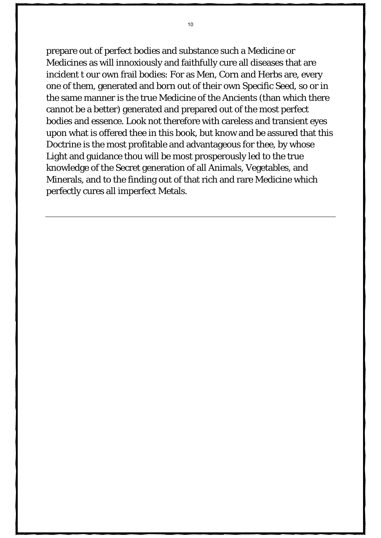prepare out of perfect bodies and substance such a Medicine or Medicines as will innoxiously and faithfully cure all diseases that are incident t our own frail bodies: For as Men, Corn and Herbs are, every one of them, generated and born out of their own Specific Seed, so or in the same manner is the true Medicine of the Ancients (than which there cannot be a better) generated and prepared out of the most perfect bodies and essence. Look not therefore with careless and transient eyes upon what is offered thee in this book, but know and be assured that this Doctrine is the most profitable and advantageous for thee, by whose Light and guidance thou will be most prosperously led to the true knowledge of the Secret generation of all Animals, Vegetables, and Minerals, and to the finding out of that rich and rare Medicine which perfectly cures all imperfect Metals.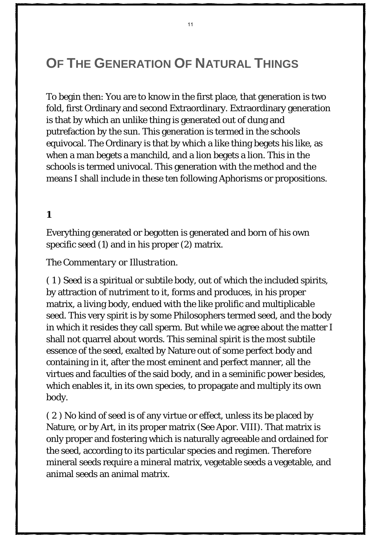## <span id="page-15-0"></span>**OF THE GENERATION OF NATURAL THINGS**

To begin then: You are to know in the first place, that generation is two fold, first Ordinary and second Extraordinary. Extraordinary generation is that by which an unlike thing is generated out of dung and putrefaction by the sun. This generation is termed in the schools equivocal. The Ordinary is that by which a like thing begets his like, as when a man begets a manchild, and a lion begets a lion. This in the schools is termed univocal. This generation with the method and the means I shall include in these ten following Aphorisms or propositions.

#### **1**

Everything generated or begotten is generated and born of his own specific seed (1) and in his proper (2) matrix.

#### *The Commentary or Illustration.*

( 1 ) Seed is a spiritual or subtile body, out of which the included spirits, by attraction of nutriment to it, forms and produces, in his proper matrix, a living body, endued with the like prolific and multiplicable seed. This very spirit is by some Philosophers termed seed, and the body in which it resides they call sperm. But while we agree about the matter I shall not quarrel about words. This seminal spirit is the most subtile essence of the seed, exalted by Nature out of some perfect body and containing in it, after the most eminent and perfect manner, all the virtues and faculties of the said body, and in a seminific power besides, which enables it, in its own species, to propagate and multiply its own body.

( 2 ) No kind of seed is of any virtue or effect, unless its be placed by Nature, or by Art, in its proper matrix (See Apor. VIII). That matrix is only proper and fostering which is naturally agreeable and ordained for the seed, according to its particular species and regimen. Therefore mineral seeds require a mineral matrix, vegetable seeds a vegetable, and animal seeds an animal matrix.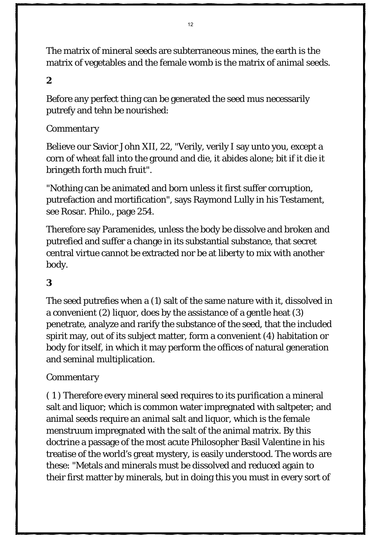The matrix of mineral seeds are subterraneous mines, the earth is the matrix of vegetables and the female womb is the matrix of animal seeds.

#### **2**

Before any perfect thing can be generated the seed mus necessarily putrefy and tehn be nourished:

#### *Commentary*

Believe our Savior John XII, 22, "Verily, verily I say unto you, except a corn of wheat fall into the ground and die, it abides alone; bit if it die it bringeth forth much fruit".

"Nothing can be animated and born unless it first suffer corruption, putrefaction and mortification", says Raymond Lully in his Testament, see Rosar. Philo., page 254.

Therefore say Paramenides, unless the body be dissolve and broken and putrefied and suffer a change in its substantial substance, that secret central virtue cannot be extracted nor be at liberty to mix with another body.

#### **3**

The seed putrefies when a (1) salt of the same nature with it, dissolved in a convenient (2) liquor, does by the assistance of a gentle heat (3) penetrate, analyze and rarify the substance of the seed, that the included spirit may, out of its subject matter, form a convenient (4) habitation or body for itself, in which it may perform the offices of natural generation and seminal multiplication.

#### *Commentary*

( 1 ) Therefore every mineral seed requires to its purification a mineral salt and liquor; which is common water impregnated with saltpeter; and animal seeds require an animal salt and liquor, which is the female menstruum impregnated with the salt of the animal matrix. By this doctrine a passage of the most acute Philosopher Basil Valentine in his treatise of the world's great mystery, is easily understood. The words are these: "Metals and minerals must be dissolved and reduced again to their first matter by minerals, but in doing this you must in every sort of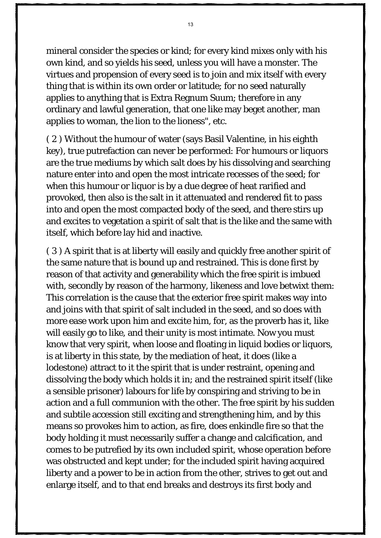mineral consider the species or kind; for every kind mixes only with his own kind, and so yields his seed, unless you will have a monster. The virtues and propension of every seed is to join and mix itself with every thing that is within its own order or latitude; for no seed naturally applies to anything that is Extra Regnum Suum; therefore in any ordinary and lawful generation, that one like may beget another, man applies to woman, the lion to the lioness", etc.

( 2 ) Without the humour of water (says Basil Valentine, in his eighth key), true putrefaction can never be performed: For humours or liquors are the true mediums by which salt does by his dissolving and searching nature enter into and open the most intricate recesses of the seed; for when this humour or liquor is by a due degree of heat rarified and provoked, then also is the salt in it attenuated and rendered fit to pass into and open the most compacted body of the seed, and there stirs up and excites to vegetation a spirit of salt that is the like and the same with itself, which before lay hid and inactive.

( 3 ) A spirit that is at liberty will easily and quickly free another spirit of the same nature that is bound up and restrained. This is done first by reason of that activity and generability which the free spirit is imbued with, secondly by reason of the harmony, likeness and love betwixt them: This correlation is the cause that the exterior free spirit makes way into and joins with that spirit of salt included in the seed, and so does with more ease work upon him and excite him, for, as the proverb has it, like will easily go to like, and their unity is most intimate. Now you must know that very spirit, when loose and floating in liquid bodies or liquors, is at liberty in this state, by the mediation of heat, it does (like a lodestone) attract to it the spirit that is under restraint, opening and dissolving the body which holds it in; and the restrained spirit itself (like a sensible prisoner) labours for life by conspiring and striving to be in action and a full communion with the other. The free spirit by his sudden and subtile accession still exciting and strengthening him, and by this means so provokes him to action, as fire, does enkindle fire so that the body holding it must necessarily suffer a change and calcification, and comes to be putrefied by its own included spirit, whose operation before was obstructed and kept under; for the included spirit having acquired liberty and a power to be in action from the other, strives to get out and enlarge itself, and to that end breaks and destroys its first body and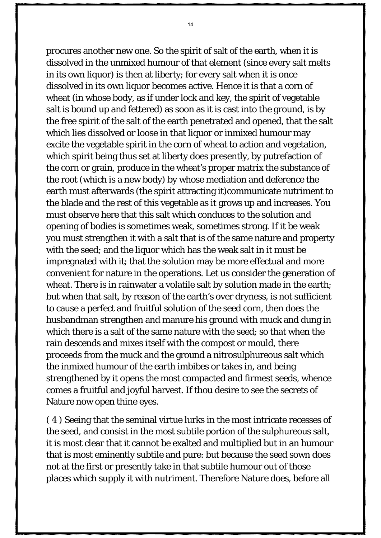procures another new one. So the spirit of salt of the earth, when it is dissolved in the unmixed humour of that element (since every salt melts in its own liquor) is then at liberty; for every salt when it is once dissolved in its own liquor becomes active. Hence it is that a corn of wheat (in whose body, as if under lock and key, the spirit of vegetable salt is bound up and fettered) as soon as it is cast into the ground, is by the free spirit of the salt of the earth penetrated and opened, that the salt which lies dissolved or loose in that liquor or inmixed humour may excite the vegetable spirit in the corn of wheat to action and vegetation, which spirit being thus set at liberty does presently, by putrefaction of the corn or grain, produce in the wheat's proper matrix the substance of the root (which is a new body) by whose mediation and deference the earth must afterwards (the spirit attracting it)communicate nutriment to the blade and the rest of this vegetable as it grows up and increases. You must observe here that this salt which conduces to the solution and opening of bodies is sometimes weak, sometimes strong. If it be weak you must strengthen it with a salt that is of the same nature and property with the seed; and the liquor which has the weak salt in it must be impregnated with it; that the solution may be more effectual and more convenient for nature in the operations. Let us consider the generation of wheat. There is in rainwater a volatile salt by solution made in the earth; but when that salt, by reason of the earth's over dryness, is not sufficient to cause a perfect and fruitful solution of the seed corn, then does the husbandman strengthen and manure his ground with muck and dung in which there is a salt of the same nature with the seed; so that when the rain descends and mixes itself with the compost or mould, there proceeds from the muck and the ground a nitrosulphureous salt which the inmixed humour of the earth imbibes or takes in, and being strengthened by it opens the most compacted and firmest seeds, whence comes a fruitful and joyful harvest. If thou desire to see the secrets of Nature now open thine eyes.

( 4 ) Seeing that the seminal virtue lurks in the most intricate recesses of the seed, and consist in the most subtile portion of the sulphureous salt, it is most clear that it cannot be exalted and multiplied but in an humour that is most eminently subtile and pure: but because the seed sown does not at the first or presently take in that subtile humour out of those places which supply it with nutriment. Therefore Nature does, before all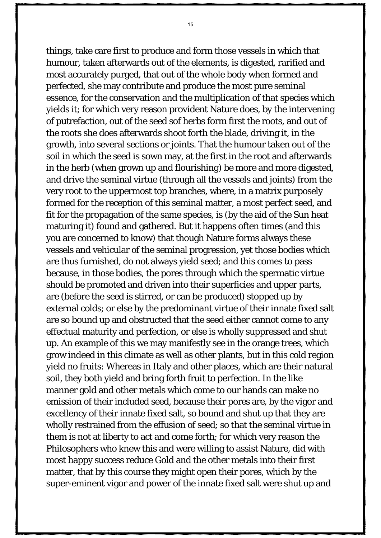things, take care first to produce and form those vessels in which that humour, taken afterwards out of the elements, is digested, rarified and most accurately purged, that out of the whole body when formed and perfected, she may contribute and produce the most pure seminal essence, for the conservation and the multiplication of that species which yields it; for which very reason provident Nature does, by the intervening of putrefaction, out of the seed sof herbs form first the roots, and out of the roots she does afterwards shoot forth the blade, driving it, in the growth, into several sections or joints. That the humour taken out of the soil in which the seed is sown may, at the first in the root and afterwards in the herb (when grown up and flourishing) be more and more digested, and drive the seminal virtue (through all the vessels and joints) from the very root to the uppermost top branches, where, in a matrix purposely formed for the reception of this seminal matter, a most perfect seed, and fit for the propagation of the same species, is (by the aid of the Sun heat maturing it) found and gathered. But it happens often times (and this you are concerned to know) that though Nature forms always these vessels and vehicular of the seminal progression, yet those bodies which are thus furnished, do not always yield seed; and this comes to pass because, in those bodies, the pores through which the spermatic virtue should be promoted and driven into their superficies and upper parts, are (before the seed is stirred, or can be produced) stopped up by external colds; or else by the predominant virtue of their innate fixed salt are so bound up and obstructed that the seed either cannot come to any effectual maturity and perfection, or else is wholly suppressed and shut up. An example of this we may manifestly see in the orange trees, which grow indeed in this climate as well as other plants, but in this cold region yield no fruits: Whereas in Italy and other places, which are their natural soil, they both yield and bring forth fruit to perfection. In the like manner gold and other metals which come to our hands can make no emission of their included seed, because their pores are, by the vigor and excellency of their innate fixed salt, so bound and shut up that they are wholly restrained from the effusion of seed; so that the seminal virtue in them is not at liberty to act and come forth; for which very reason the Philosophers who knew this and were willing to assist Nature, did with most happy success reduce Gold and the other metals into their first matter, that by this course they might open their pores, which by the super-eminent vigor and power of the innate fixed salt were shut up and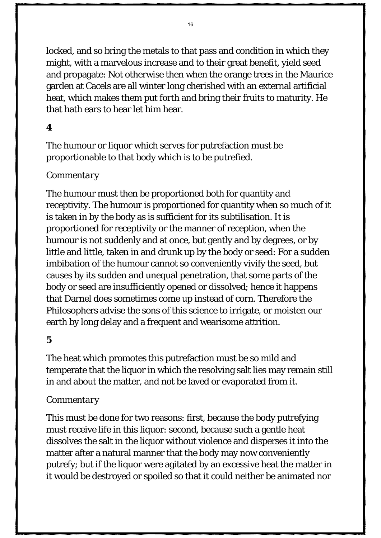locked, and so bring the metals to that pass and condition in which they might, with a marvelous increase and to their great benefit, yield seed and propagate: Not otherwise then when the orange trees in the Maurice garden at Cacels are all winter long cherished with an external artificial heat, which makes them put forth and bring their fruits to maturity. He that hath ears to hear let him hear.

#### **4**

The humour or liquor which serves for putrefaction must be proportionable to that body which is to be putrefied.

#### *Commentary*

The humour must then be proportioned both for quantity and receptivity. The humour is proportioned for quantity when so much of it is taken in by the body as is sufficient for its subtilisation. It is proportioned for receptivity or the manner of reception, when the humour is not suddenly and at once, but gently and by degrees, or by little and little, taken in and drunk up by the body or seed: For a sudden imbibation of the humour cannot so conveniently vivify the seed, but causes by its sudden and unequal penetration, that some parts of the body or seed are insufficiently opened or dissolved; hence it happens that Darnel does sometimes come up instead of corn. Therefore the Philosophers advise the sons of this science to irrigate, or moisten our earth by long delay and a frequent and wearisome attrition.

#### **5**

The heat which promotes this putrefaction must be so mild and temperate that the liquor in which the resolving salt lies may remain still in and about the matter, and not be laved or evaporated from it.

#### *Commentary*

This must be done for two reasons: first, because the body putrefying must receive life in this liquor: second, because such a gentle heat dissolves the salt in the liquor without violence and disperses it into the matter after a natural manner that the body may now conveniently putrefy; but if the liquor were agitated by an excessive heat the matter in it would be destroyed or spoiled so that it could neither be animated nor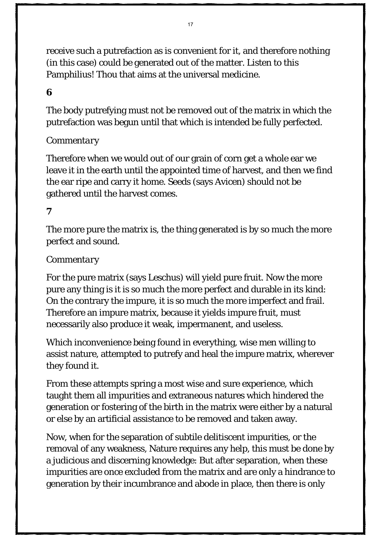receive such a putrefaction as is convenient for it, and therefore nothing (in this case) could be generated out of the matter. Listen to this Pamphilius! Thou that aims at the universal medicine.

#### **6**

The body putrefying must not be removed out of the matrix in which the putrefaction was begun until that which is intended be fully perfected.

#### *Commentary*

Therefore when we would out of our grain of corn get a whole ear we leave it in the earth until the appointed time of harvest, and then we find the ear ripe and carry it home. Seeds (says Avicen) should not be gathered until the harvest comes.

#### **7**

The more pure the matrix is, the thing generated is by so much the more perfect and sound.

#### *Commentary*

For the pure matrix (says Leschus) will yield pure fruit. Now the more pure any thing is it is so much the more perfect and durable in its kind: On the contrary the impure, it is so much the more imperfect and frail. Therefore an impure matrix, because it yields impure fruit, must necessarily also produce it weak, impermanent, and useless.

Which inconvenience being found in everything, wise men willing to assist nature, attempted to putrefy and heal the impure matrix, wherever they found it.

From these attempts spring a most wise and sure experience, which taught them all impurities and extraneous natures which hindered the generation or fostering of the birth in the matrix were either by a natural or else by an artificial assistance to be removed and taken away.

Now, when for the separation of subtile delitiscent impurities, or the removal of any weakness, Nature requires any help, this must be done by a judicious and discerning knowledge: But after separation, when these impurities are once excluded from the matrix and are only a hindrance to generation by their incumbrance and abode in place, then there is only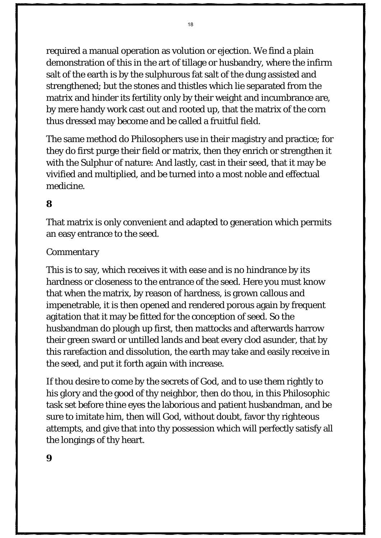required a manual operation as volution or ejection. We find a plain demonstration of this in the art of tillage or husbandry, where the infirm salt of the earth is by the sulphurous fat salt of the dung assisted and strengthened; but the stones and thistles which lie separated from the matrix and hinder its fertility only by their weight and incumbrance are, by mere handy work cast out and rooted up, that the matrix of the corn thus dressed may become and be called a fruitful field.

The same method do Philosophers use in their magistry and practice; for they do first purge their field or matrix, then they enrich or strengthen it with the Sulphur of nature: And lastly, cast in their seed, that it may be vivified and multiplied, and be turned into a most noble and effectual medicine.

#### **8**

That matrix is only convenient and adapted to generation which permits an easy entrance to the seed.

#### *Commentary*

This is to say, which receives it with ease and is no hindrance by its hardness or closeness to the entrance of the seed. Here you must know that when the matrix, by reason of hardness, is grown callous and impenetrable, it is then opened and rendered porous again by frequent agitation that it may be fitted for the conception of seed. So the husbandman do plough up first, then mattocks and afterwards harrow their green sward or untilled lands and beat every clod asunder, that by this rarefaction and dissolution, the earth may take and easily receive in the seed, and put it forth again with increase.

If thou desire to come by the secrets of God, and to use them rightly to his glory and the good of thy neighbor, then do thou, in this Philosophic task set before thine eyes the laborious and patient husbandman, and be sure to imitate him, then will God, without doubt, favor thy righteous attempts, and give that into thy possession which will perfectly satisfy all the longings of thy heart.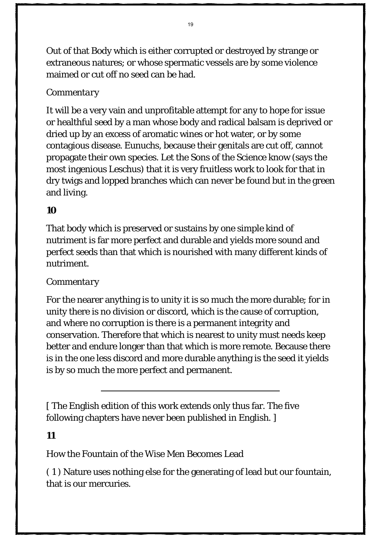Out of that Body which is either corrupted or destroyed by strange or extraneous natures; or whose spermatic vessels are by some violence maimed or cut off no seed can be had.

#### *Commentary*

It will be a very vain and unprofitable attempt for any to hope for issue or healthful seed by a man whose body and radical balsam is deprived or dried up by an excess of aromatic wines or hot water, or by some contagious disease. Eunuchs, because their genitals are cut off, cannot propagate their own species. Let the Sons of the Science know (says the most ingenious Leschus) that it is very fruitless work to look for that in dry twigs and lopped branches which can never be found but in the green and living.

#### **10**

That body which is preserved or sustains by one simple kind of nutriment is far more perfect and durable and yields more sound and perfect seeds than that which is nourished with many different kinds of nutriment.

#### *Commentary*

For the nearer anything is to unity it is so much the more durable; for in unity there is no division or discord, which is the cause of corruption, and where no corruption is there is a permanent integrity and conservation. Therefore that which is nearest to unity must needs keep better and endure longer than that which is more remote. Because there is in the one less discord and more durable anything is the seed it yields is by so much the more perfect and permanent.

[ The English edition of this work extends only thus far. The five following chapters have never been published in English. ]

#### **11**

How the Fountain of the Wise Men Becomes Lead

( 1 ) Nature uses nothing else for the generating of lead but our fountain, that is our mercuries.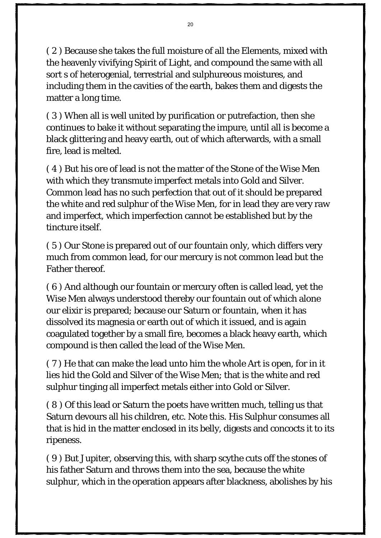( 2 ) Because she takes the full moisture of all the Elements, mixed with the heavenly vivifying Spirit of Light, and compound the same with all sort s of heterogenial, terrestrial and sulphureous moistures, and including them in the cavities of the earth, bakes them and digests the matter a long time.

( 3 ) When all is well united by purification or putrefaction, then she continues to bake it without separating the impure, until all is become a black glittering and heavy earth, out of which afterwards, with a small fire, lead is melted.

( 4 ) But his ore of lead is not the matter of the Stone of the Wise Men with which they transmute imperfect metals into Gold and Silver. Common lead has no such perfection that out of it should be prepared the white and red sulphur of the Wise Men, for in lead they are very raw and imperfect, which imperfection cannot be established but by the tincture itself.

( 5 ) Our Stone is prepared out of our fountain only, which differs very much from common lead, for our mercury is not common lead but the Father thereof.

( 6 ) And although our fountain or mercury often is called lead, yet the Wise Men always understood thereby our fountain out of which alone our elixir is prepared; because our Saturn or fountain, when it has dissolved its magnesia or earth out of which it issued, and is again coagulated together by a small fire, becomes a black heavy earth, which compound is then called the lead of the Wise Men.

( 7 ) He that can make the lead unto him the whole Art is open, for in it lies hid the Gold and Silver of the Wise Men; that is the white and red sulphur tinging all imperfect metals either into Gold or Silver.

( 8 ) Of this lead or Saturn the poets have written much, telling us that Saturn devours all his children, etc. Note this. His Sulphur consumes all that is hid in the matter enclosed in its belly, digests and concocts it to its ripeness.

( 9 ) But Jupiter, observing this, with sharp scythe cuts off the stones of his father Saturn and throws them into the sea, because the white sulphur, which in the operation appears after blackness, abolishes by his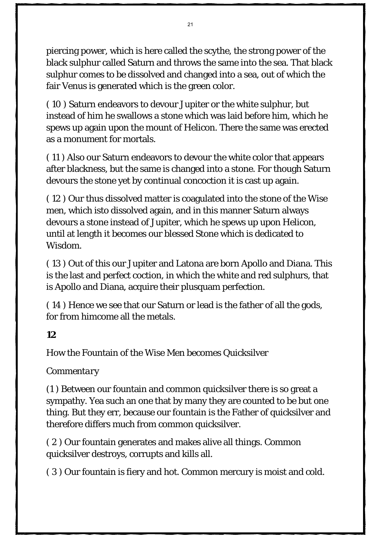piercing power, which is here called the scythe, the strong power of the black sulphur called Saturn and throws the same into the sea. That black sulphur comes to be dissolved and changed into a sea, out of which the fair Venus is generated which is the green color.

( 10 ) Saturn endeavors to devour Jupiter or the white sulphur, but instead of him he swallows a stone which was laid before him, which he spews up again upon the mount of Helicon. There the same was erected as a monument for mortals.

( 11 ) Also our Saturn endeavors to devour the white color that appears after blackness, but the same is changed into a stone. For though Saturn devours the stone yet by continual concoction it is cast up again.

( 12 ) Our thus dissolved matter is coagulated into the stone of the Wise men, which isto dissolved again, and in this manner Saturn always devours a stone instead of Jupiter, which he spews up upon Helicon, until at length it becomes our blessed Stone which is dedicated to Wisdom.

( 13 ) Out of this our Jupiter and Latona are born Apollo and Diana. This is the last and perfect coction, in which the white and red sulphurs, that is Apollo and Diana, acquire their plusquam perfection.

( 14 ) Hence we see that our Saturn or lead is the father of all the gods, for from himcome all the metals.

#### **12**

How the Fountain of the Wise Men becomes Quicksilver

#### *Commentary*

(1 ) Between our fountain and common quicksilver there is so great a sympathy. Yea such an one that by many they are counted to be but one thing. But they err, because our fountain is the Father of quicksilver and therefore differs much from common quicksilver.

( 2 ) Our fountain generates and makes alive all things. Common quicksilver destroys, corrupts and kills all.

( 3 ) Our fountain is fiery and hot. Common mercury is moist and cold.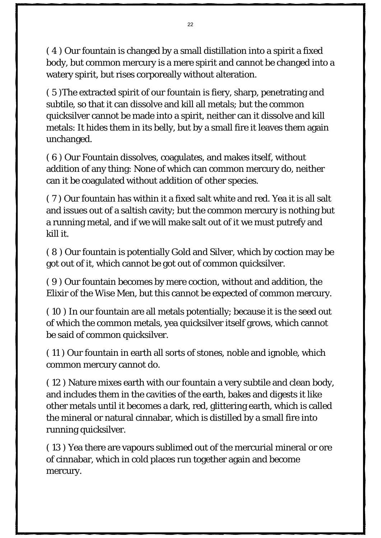( 4 ) Our fountain is changed by a small distillation into a spirit a fixed body, but common mercury is a mere spirit and cannot be changed into a watery spirit, but rises corporeally without alteration.

( 5 )The extracted spirit of our fountain is fiery, sharp, penetrating and subtile, so that it can dissolve and kill all metals; but the common quicksilver cannot be made into a spirit, neither can it dissolve and kill metals: It hides them in its belly, but by a small fire it leaves them again unchanged.

( 6 ) Our Fountain dissolves, coagulates, and makes itself, without addition of any thing: None of which can common mercury do, neither can it be coagulated without addition of other species.

( 7 ) Our fountain has within it a fixed salt white and red. Yea it is all salt and issues out of a saltish cavity; but the common mercury is nothing but a running metal, and if we will make salt out of it we must putrefy and kill it.

( 8 ) Our fountain is potentially Gold and Silver, which by coction may be got out of it, which cannot be got out of common quicksilver.

( 9 ) Our fountain becomes by mere coction, without and addition, the Elixir of the Wise Men, but this cannot be expected of common mercury.

( 10 ) In our fountain are all metals potentially; because it is the seed out of which the common metals, yea quicksilver itself grows, which cannot be said of common quicksilver.

( 11 ) Our fountain in earth all sorts of stones, noble and ignoble, which common mercury cannot do.

( 12 ) Nature mixes earth with our fountain a very subtile and clean body, and includes them in the cavities of the earth, bakes and digests it like other metals until it becomes a dark, red, glittering earth, which is called the mineral or natural cinnabar, which is distilled by a small fire into running quicksilver.

( 13 ) Yea there are vapours sublimed out of the mercurial mineral or ore of cinnabar, which in cold places run together again and become mercury.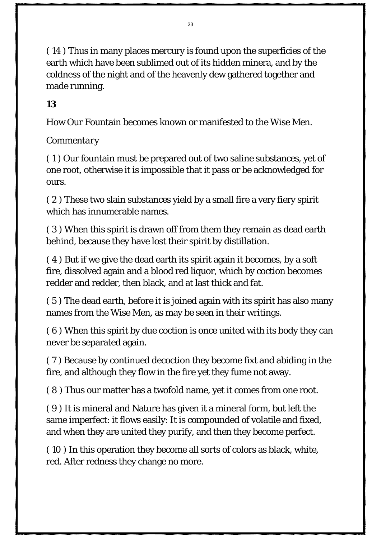( 14 ) Thus in many places mercury is found upon the superficies of the earth which have been sublimed out of its hidden minera, and by the coldness of the night and of the heavenly dew gathered together and made running.

#### **13**

How Our Fountain becomes known or manifested to the Wise Men.

#### *Commentary*

( 1 ) Our fountain must be prepared out of two saline substances, yet of one root, otherwise it is impossible that it pass or be acknowledged for ours.

( 2 ) These two slain substances yield by a small fire a very fiery spirit which has innumerable names.

( 3 ) When this spirit is drawn off from them they remain as dead earth behind, because they have lost their spirit by distillation.

( 4 ) But if we give the dead earth its spirit again it becomes, by a soft fire, dissolved again and a blood red liquor, which by coction becomes redder and redder, then black, and at last thick and fat.

( 5 ) The dead earth, before it is joined again with its spirit has also many names from the Wise Men, as may be seen in their writings.

( 6 ) When this spirit by due coction is once united with its body they can never be separated again.

( 7 ) Because by continued decoction they become fixt and abiding in the fire, and although they flow in the fire yet they fume not away.

( 8 ) Thus our matter has a twofold name, yet it comes from one root.

( 9 ) It is mineral and Nature has given it a mineral form, but left the same imperfect: it flows easily: It is compounded of volatile and fixed, and when they are united they purify, and then they become perfect.

( 10 ) In this operation they become all sorts of colors as black, white, red. After redness they change no more.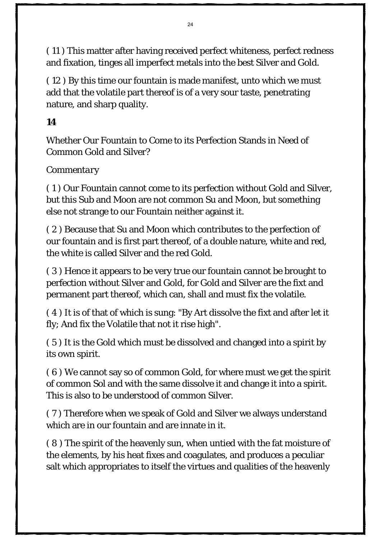( 11 ) This matter after having received perfect whiteness, perfect redness and fixation, tinges all imperfect metals into the best Silver and Gold.

( 12 ) By this time our fountain is made manifest, unto which we must add that the volatile part thereof is of a very sour taste, penetrating nature, and sharp quality.

#### **14**

Whether Our Fountain to Come to its Perfection Stands in Need of Common Gold and Silver?

#### *Commentary*

( 1 ) Our Fountain cannot come to its perfection without Gold and Silver, but this Sub and Moon are not common Su and Moon, but something else not strange to our Fountain neither against it.

( 2 ) Because that Su and Moon which contributes to the perfection of our fountain and is first part thereof, of a double nature, white and red, the white is called Silver and the red Gold.

( 3 ) Hence it appears to be very true our fountain cannot be brought to perfection without Silver and Gold, for Gold and Silver are the fixt and permanent part thereof, which can, shall and must fix the volatile.

( 4 ) It is of that of which is sung: "By Art dissolve the fixt and after let it fly; And fix the Volatile that not it rise high".

( 5 ) It is the Gold which must be dissolved and changed into a spirit by its own spirit.

( 6 ) We cannot say so of common Gold, for where must we get the spirit of common Sol and with the same dissolve it and change it into a spirit. This is also to be understood of common Silver.

( 7 ) Therefore when we speak of Gold and Silver we always understand which are in our fountain and are innate in it.

( 8 ) The spirit of the heavenly sun, when untied with the fat moisture of the elements, by his heat fixes and coagulates, and produces a peculiar salt which appropriates to itself the virtues and qualities of the heavenly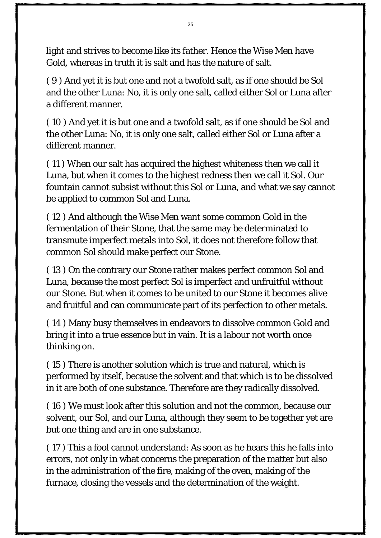light and strives to become like its father. Hence the Wise Men have Gold, whereas in truth it is salt and has the nature of salt.

( 9 ) And yet it is but one and not a twofold salt, as if one should be Sol and the other Luna: No, it is only one salt, called either Sol or Luna after a different manner.

( 10 ) And yet it is but one and a twofold salt, as if one should be Sol and the other Luna: No, it is only one salt, called either Sol or Luna after a different manner.

( 11 ) When our salt has acquired the highest whiteness then we call it Luna, but when it comes to the highest redness then we call it Sol. Our fountain cannot subsist without this Sol or Luna, and what we say cannot be applied to common Sol and Luna.

( 12 ) And although the Wise Men want some common Gold in the fermentation of their Stone, that the same may be determinated to transmute imperfect metals into Sol, it does not therefore follow that common Sol should make perfect our Stone.

( 13 ) On the contrary our Stone rather makes perfect common Sol and Luna, because the most perfect Sol is imperfect and unfruitful without our Stone. But when it comes to be united to our Stone it becomes alive and fruitful and can communicate part of its perfection to other metals.

( 14 ) Many busy themselves in endeavors to dissolve common Gold and bring it into a true essence but in vain. It is a labour not worth once thinking on.

( 15 ) There is another solution which is true and natural, which is performed by itself, because the solvent and that which is to be dissolved in it are both of one substance. Therefore are they radically dissolved.

( 16 ) We must look after this solution and not the common, because our solvent, our Sol, and our Luna, although they seem to be together yet are but one thing and are in one substance.

( 17 ) This a fool cannot understand: As soon as he hears this he falls into errors, not only in what concerns the preparation of the matter but also in the administration of the fire, making of the oven, making of the furnace, closing the vessels and the determination of the weight.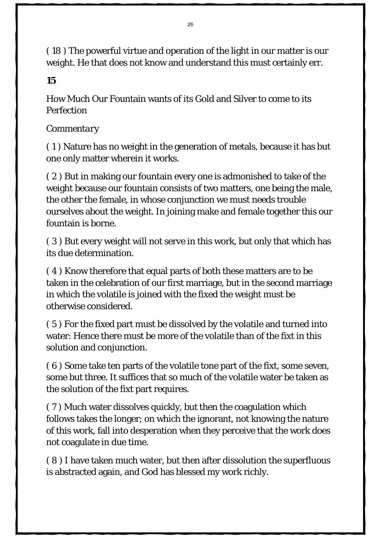( 18 ) The powerful virtue and operation of the light in our matter is our weight. He that does not know and understand this must certainly err.

#### **15**

How Much Our Fountain wants of its Gold and Silver to come to its Perfection

#### *Commentary*

( 1 ) Nature has no weight in the generation of metals, because it has but one only matter wherein it works.

( 2 ) But in making our fountain every one is admonished to take of the weight because our fountain consists of two matters, one being the male, the other the female, in whose conjunction we must needs trouble ourselves about the weight. In joining make and female together this our fountain is borne.

( 3 ) But every weight will not serve in this work, but only that which has its due determination.

( 4 ) Know therefore that equal parts of both these matters are to be taken in the celebration of our first marriage, but in the second marriage in which the volatile is joined with the fixed the weight must be otherwise considered.

( 5 ) For the fixed part must be dissolved by the volatile and turned into water: Hence there must be more of the volatile than of the fixt in this solution and conjunction.

( 6 ) Some take ten parts of the volatile tone part of the fixt, some seven, some but three. It suffices that so much of the volatile water be taken as the solution of the fixt part requires.

( 7 ) Much water dissolves quickly, but then the coagulation which follows takes the longer; on which the ignorant, not knowing the nature of this work, fall into desperation when they perceive that the work does not coagulate in due time.

( 8 ) I have taken much water, but then after dissolution the superfluous is abstracted again, and God has blessed my work richly.